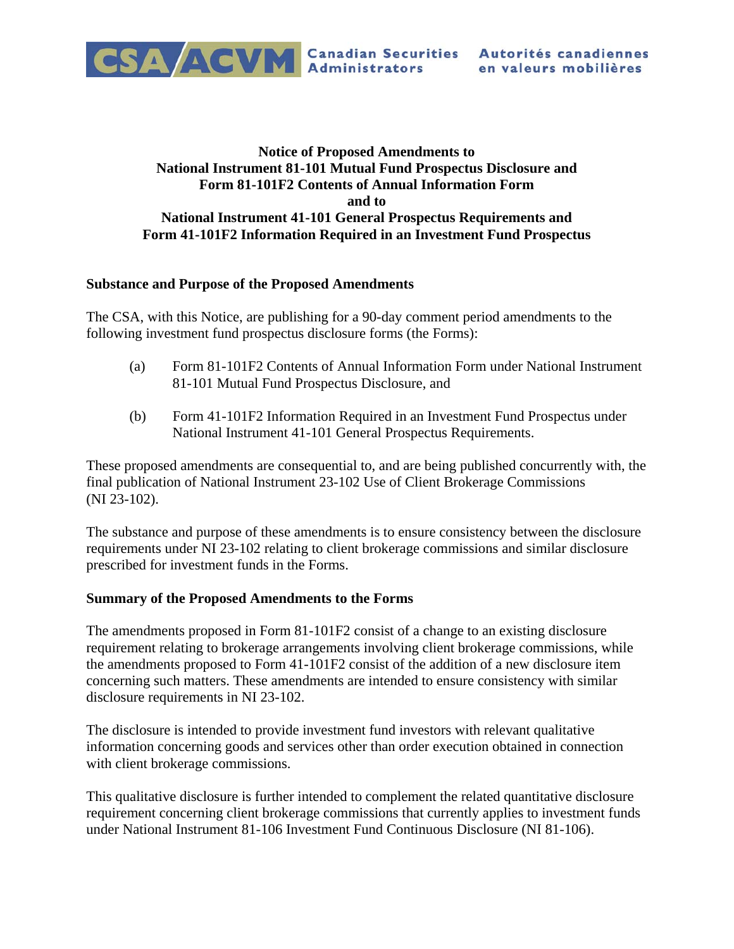

## **Notice of Proposed Amendments to National Instrument 81-101 Mutual Fund Prospectus Disclosure and Form 81-101F2 Contents of Annual Information Form and to National Instrument 41-101 General Prospectus Requirements and Form 41-101F2 Information Required in an Investment Fund Prospectus**

### **Substance and Purpose of the Proposed Amendments**

The CSA, with this Notice, are publishing for a 90-day comment period amendments to the following investment fund prospectus disclosure forms (the Forms):

- (a) Form 81-101F2 Contents of Annual Information Form under National Instrument 81-101 Mutual Fund Prospectus Disclosure, and
- (b) Form 41-101F2 Information Required in an Investment Fund Prospectus under National Instrument 41-101 General Prospectus Requirements.

These proposed amendments are consequential to, and are being published concurrently with, the final publication of National Instrument 23-102 Use of Client Brokerage Commissions (NI 23-102).

The substance and purpose of these amendments is to ensure consistency between the disclosure requirements under NI 23-102 relating to client brokerage commissions and similar disclosure prescribed for investment funds in the Forms.

### **Summary of the Proposed Amendments to the Forms**

The amendments proposed in Form 81-101F2 consist of a change to an existing disclosure requirement relating to brokerage arrangements involving client brokerage commissions, while the amendments proposed to Form 41-101F2 consist of the addition of a new disclosure item concerning such matters. These amendments are intended to ensure consistency with similar disclosure requirements in NI 23-102.

The disclosure is intended to provide investment fund investors with relevant qualitative information concerning goods and services other than order execution obtained in connection with client brokerage commissions.

This qualitative disclosure is further intended to complement the related quantitative disclosure requirement concerning client brokerage commissions that currently applies to investment funds under National Instrument 81-106 Investment Fund Continuous Disclosure (NI 81-106).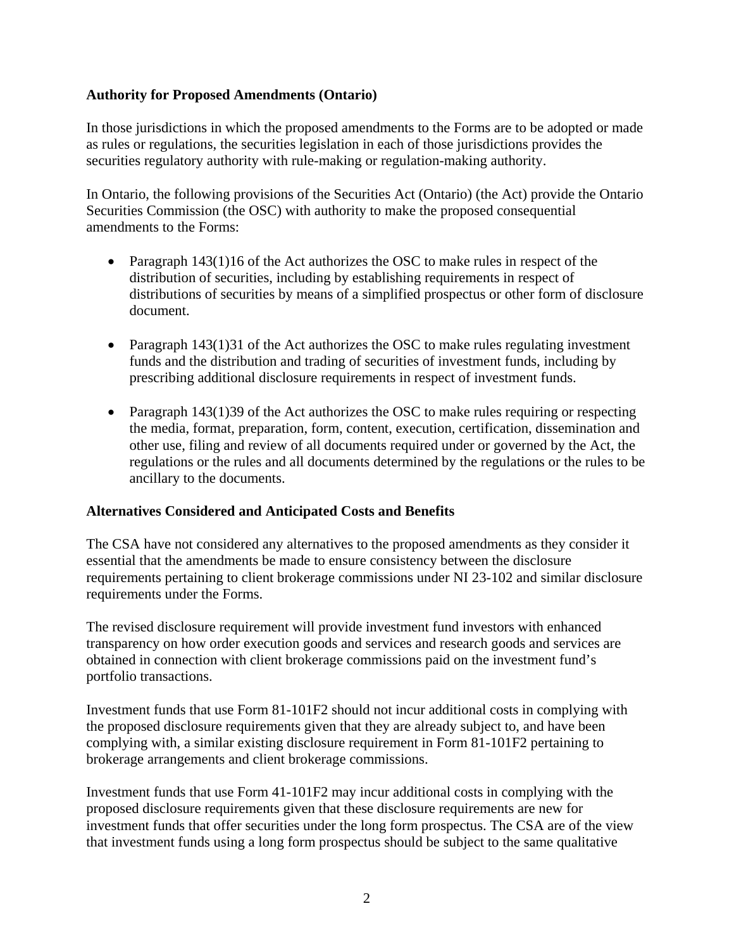## **Authority for Proposed Amendments (Ontario)**

In those jurisdictions in which the proposed amendments to the Forms are to be adopted or made as rules or regulations, the securities legislation in each of those jurisdictions provides the securities regulatory authority with rule-making or regulation-making authority.

In Ontario, the following provisions of the Securities Act (Ontario) (the Act) provide the Ontario Securities Commission (the OSC) with authority to make the proposed consequential amendments to the Forms:

- Paragraph 143(1)16 of the Act authorizes the OSC to make rules in respect of the distribution of securities, including by establishing requirements in respect of distributions of securities by means of a simplified prospectus or other form of disclosure document.
- Paragraph 143(1)31 of the Act authorizes the OSC to make rules regulating investment funds and the distribution and trading of securities of investment funds, including by prescribing additional disclosure requirements in respect of investment funds.
- Paragraph 143(1)39 of the Act authorizes the OSC to make rules requiring or respecting the media, format, preparation, form, content, execution, certification, dissemination and other use, filing and review of all documents required under or governed by the Act, the regulations or the rules and all documents determined by the regulations or the rules to be ancillary to the documents.

### **Alternatives Considered and Anticipated Costs and Benefits**

The CSA have not considered any alternatives to the proposed amendments as they consider it essential that the amendments be made to ensure consistency between the disclosure requirements pertaining to client brokerage commissions under NI 23-102 and similar disclosure requirements under the Forms.

The revised disclosure requirement will provide investment fund investors with enhanced transparency on how order execution goods and services and research goods and services are obtained in connection with client brokerage commissions paid on the investment fund's portfolio transactions.

Investment funds that use Form 81-101F2 should not incur additional costs in complying with the proposed disclosure requirements given that they are already subject to, and have been complying with, a similar existing disclosure requirement in Form 81-101F2 pertaining to brokerage arrangements and client brokerage commissions.

Investment funds that use Form 41-101F2 may incur additional costs in complying with the proposed disclosure requirements given that these disclosure requirements are new for investment funds that offer securities under the long form prospectus. The CSA are of the view that investment funds using a long form prospectus should be subject to the same qualitative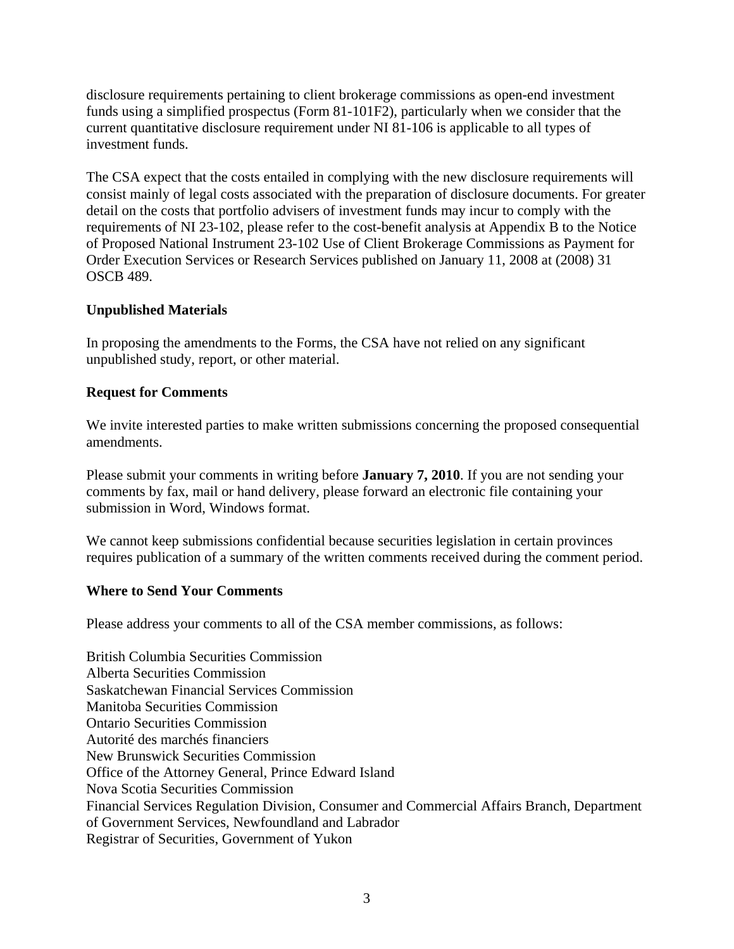disclosure requirements pertaining to client brokerage commissions as open-end investment funds using a simplified prospectus (Form 81-101F2), particularly when we consider that the current quantitative disclosure requirement under NI 81-106 is applicable to all types of investment funds.

The CSA expect that the costs entailed in complying with the new disclosure requirements will consist mainly of legal costs associated with the preparation of disclosure documents. For greater detail on the costs that portfolio advisers of investment funds may incur to comply with the requirements of NI 23-102, please refer to the cost-benefit analysis at Appendix B to the Notice of Proposed National Instrument 23-102 Use of Client Brokerage Commissions as Payment for Order Execution Services or Research Services published on January 11, 2008 at (2008) 31 OSCB 489.

# **Unpublished Materials**

In proposing the amendments to the Forms, the CSA have not relied on any significant unpublished study, report, or other material.

### **Request for Comments**

We invite interested parties to make written submissions concerning the proposed consequential amendments.

Please submit your comments in writing before **January 7, 2010**. If you are not sending your comments by fax, mail or hand delivery, please forward an electronic file containing your submission in Word, Windows format.

We cannot keep submissions confidential because securities legislation in certain provinces requires publication of a summary of the written comments received during the comment period.

### **Where to Send Your Comments**

Please address your comments to all of the CSA member commissions, as follows:

British Columbia Securities Commission Alberta Securities Commission Saskatchewan Financial Services Commission Manitoba Securities Commission Ontario Securities Commission Autorité des marchés financiers New Brunswick Securities Commission Office of the Attorney General, Prince Edward Island Nova Scotia Securities Commission Financial Services Regulation Division, Consumer and Commercial Affairs Branch, Department of Government Services, Newfoundland and Labrador Registrar of Securities, Government of Yukon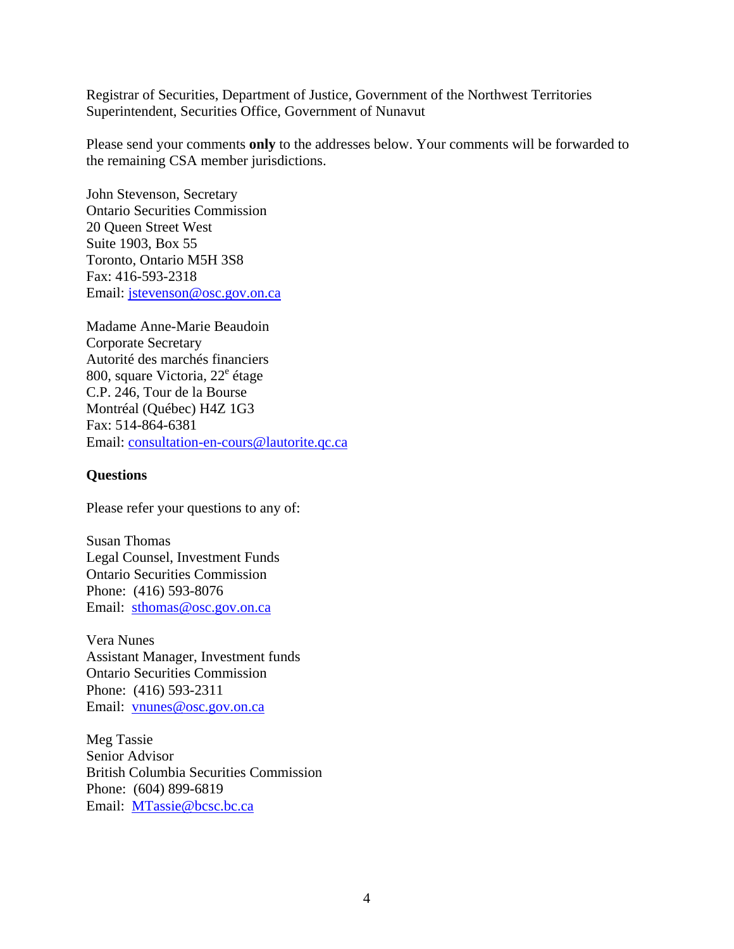Registrar of Securities, Department of Justice, Government of the Northwest Territories Superintendent, Securities Office, Government of Nunavut

Please send your comments **only** to the addresses below. Your comments will be forwarded to the remaining CSA member jurisdictions.

John Stevenson, Secretary Ontario Securities Commission 20 Queen Street West Suite 1903, Box 55 Toronto, Ontario M5H 3S8 Fax: 416-593-2318 Email: jstevenson@osc.gov.on.ca

Madame Anne-Marie Beaudoin Corporate Secretary Autorité des marchés financiers 800, square Victoria, 22<sup>e</sup> étage C.P. 246, Tour de la Bourse Montréal (Québec) H4Z 1G3 Fax: 514-864-6381 Email: consultation-en-cours@lautorite.qc.ca

#### **Questions**

Please refer your questions to any of:

Susan Thomas Legal Counsel, Investment Funds Ontario Securities Commission Phone: (416) 593-8076 Email: sthomas@osc.gov.on.ca

Vera Nunes Assistant Manager, Investment funds Ontario Securities Commission Phone: (416) 593-2311 Email: vnunes@osc.gov.on.ca

Meg Tassie Senior Advisor British Columbia Securities Commission Phone: (604) 899-6819 Email: MTassie@bcsc.bc.ca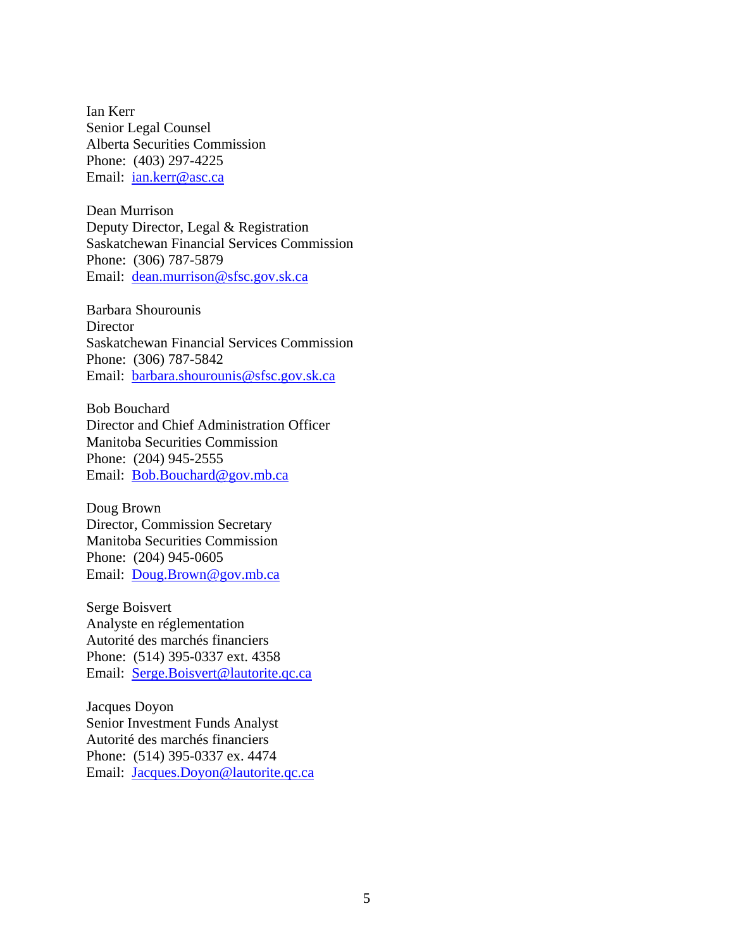Ian Kerr Senior Legal Counsel Alberta Securities Commission Phone: (403) 297-4225 Email: *ian.kerr@asc.ca* 

Dean Murrison Deputy Director, Legal & Registration Saskatchewan Financial Services Commission Phone: (306) 787-5879 Email: dean.murrison@sfsc.gov.sk.ca

Barbara Shourounis **Director** Saskatchewan Financial Services Commission Phone: (306) 787-5842 Email: barbara.shourounis@sfsc.gov.sk.ca

Bob Bouchard Director and Chief Administration Officer Manitoba Securities Commission Phone: (204) 945-2555 Email: Bob.Bouchard@gov.mb.ca

Doug Brown Director, Commission Secretary Manitoba Securities Commission Phone: (204) 945-0605 Email: Doug.Brown@gov.mb.ca

Serge Boisvert Analyste en réglementation Autorité des marchés financiers Phone: (514) 395-0337 ext. 4358 Email: Serge.Boisvert@lautorite.qc.ca

Jacques Doyon Senior Investment Funds Analyst Autorité des marchés financiers Phone: (514) 395-0337 ex. 4474 Email: Jacques.Doyon@lautorite.qc.ca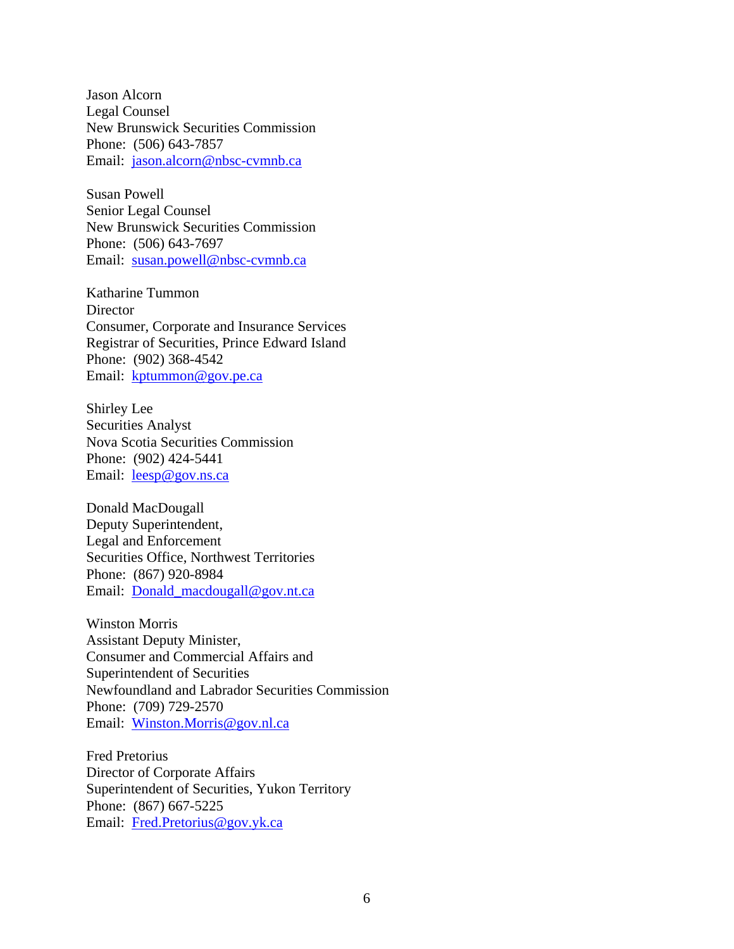Jason Alcorn Legal Counsel New Brunswick Securities Commission Phone: (506) 643-7857 Email: jason.alcorn@nbsc-cvmnb.ca

Susan Powell Senior Legal Counsel New Brunswick Securities Commission Phone: (506) 643-7697 Email: susan.powell@nbsc-cvmnb.ca

Katharine Tummon **Director** Consumer, Corporate and Insurance Services Registrar of Securities, Prince Edward Island Phone: (902) 368-4542 Email: kptummon@gov.pe.ca

Shirley Lee Securities Analyst Nova Scotia Securities Commission Phone: (902) 424-5441 Email: leesp@gov.ns.ca

Donald MacDougall Deputy Superintendent, Legal and Enforcement Securities Office, Northwest Territories Phone: (867) 920-8984 Email: Donald\_macdougall@gov.nt.ca

Winston Morris Assistant Deputy Minister, Consumer and Commercial Affairs and Superintendent of Securities Newfoundland and Labrador Securities Commission Phone: (709) 729-2570 Email: Winston.Morris@gov.nl.ca

Fred Pretorius Director of Corporate Affairs Superintendent of Securities, Yukon Territory Phone: (867) 667-5225 Email: Fred.Pretorius@gov.yk.ca